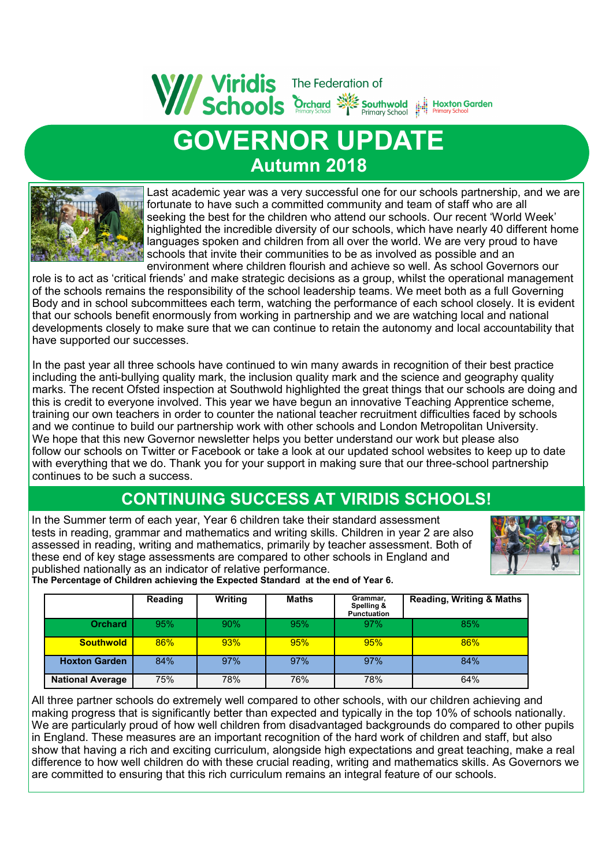

# **GOVERNOR UPDATE Autumn 2018**



Last academic year was a very successful one for our schools partnership, and we are fortunate to have such a committed community and team of staff who are all seeking the best for the children who attend our schools. Our recent 'World Week' highlighted the incredible diversity of our schools, which have nearly 40 different home languages spoken and children from all over the world. We are very proud to have schools that invite their communities to be as involved as possible and an environment where children flourish and achieve so well. As school Governors our

role is to act as 'critical friends' and make strategic decisions as a group, whilst the operational management of the schools remains the responsibility of the school leadership teams. We meet both as a full Governing Body and in school subcommittees each term, watching the performance of each school closely. It is evident that our schools benefit enormously from working in partnership and we are watching local and national developments closely to make sure that we can continue to retain the autonomy and local accountability that have supported our successes.

In the past year all three schools have continued to win many awards in recognition of their best practice including the anti-bullying quality mark, the inclusion quality mark and the science and geography quality marks. The recent Ofsted inspection at Southwold highlighted the great things that our schools are doing and this is credit to everyone involved. This year we have begun an innovative Teaching Apprentice scheme, training our own teachers in order to counter the national teacher recruitment difficulties faced by schools and we continue to build our partnership work with other schools and London Metropolitan University. We hope that this new Governor newsletter helps you better understand our work but please also follow our schools on Twitter or Facebook or take a look at our updated school websites to keep up to date with everything that we do. Thank you for your support in making sure that our three-school partnership continues to be such a success.

#### **CONTINUING SUCCESS AT VIRIDIS SCHOOLS!**

In the Summer term of each year, Year 6 children take their standard assessment tests in reading, grammar and mathematics and writing skills. Children in year 2 are also assessed in reading, writing and mathematics, primarily by teacher assessment. Both of these end of key stage assessments are compared to other schools in England and published nationally as an indicator of relative performance.



**The Percentage of Children achieving the Expected Standard at the end of Year 6.** 

|                         | Reading | <b>Writing</b> | Maths | Grammar,<br>Spelling &<br><b>Punctuation</b> | <b>Reading, Writing &amp; Maths</b> |
|-------------------------|---------|----------------|-------|----------------------------------------------|-------------------------------------|
| <b>Orchard</b>          | 95%     | 90%            | 95%   | 97%                                          | 85%                                 |
| <b>Southwold</b>        | 86%     | 93%            | 95%   | 95%                                          | 86%                                 |
| <b>Hoxton Garden</b>    | 84%     | 97%            | 97%   | 97%                                          | 84%                                 |
| <b>National Average</b> | 75%     | 78%            | 76%   | 78%                                          | 64%                                 |

All three partner schools do extremely well compared to other schools, with our children achieving and making progress that is significantly better than expected and typically in the top 10% of schools nationally. We are particularly proud of how well children from disadvantaged backgrounds do compared to other pupils in England. These measures are an important recognition of the hard work of children and staff, but also show that having a rich and exciting curriculum, alongside high expectations and great teaching, make a real difference to how well children do with these crucial reading, writing and mathematics skills. As Governors we are committed to ensuring that this rich curriculum remains an integral feature of our schools.